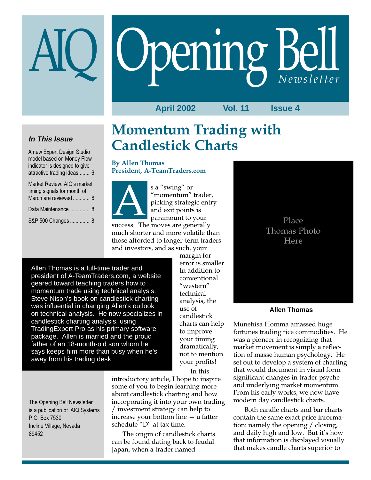# Opening Bell

**April 2002 Vol. 11 Issue 4**

## **In This Issue**

A new Expert Design Studio model based on Money Flow indicator is designed to give attractive trading ideas ....... 6

Market Review: AIQ's market timing signals for month of March are reviewed ............ 8

Data Maintenance ................ 8

S&P 500 Changes .............. 8

# Momentum Trading with Candlestick Charts

By Allen Thomas President, A-TeamTraders.com



s a "swing" or "momentum" trader, picking strategic entry and exit points is paramount to your s a "swing" or<br>
"momentum" trader<br>
picking strategic ent<br>
and exit points is<br>
paramount to your<br>
success. The moves are generally

much shorter and more volatile than those afforded to longer-term traders and investors, and as such, your

Allen Thomas is a full-time trader and president of A-TeamTraders.com, a website geared toward teaching traders how to momentum trade using technical analysis. Steve Nison's book on candlestick charting was influential in changing Allen's outlook on technical analysis. He now specializes in candlestick charting analysis, using TradingExpert Pro as his primary software package. Allen is married and the proud father of an 18-month-old son whom he says keeps him more than busy when he's away from his trading desk.

margin for error is smaller. In addition to conventional "western" technical analysis, the use of candlestick charts can help to improve your timing dramatically, not to mention your profits!

In this

The Opening Bell Newsletter is a publication of AIQ Systems P.O. Box 7530 Incline Village, Nevada 89452

introductory article, I hope to inspire some of you to begin learning more about candlestick charting and how incorporating it into your own trading / investment strategy can help to increase your bottom line — a fatter schedule "D" at tax time.

The origin of candlestick charts can be found dating back to feudal Japan, when a trader named



#### **Allen Thomas**

Munehisa Homma amassed huge fortunes trading rice commodities. He was a pioneer in recognizing that market movement is simply a reflection of masse human psychology. He set out to develop a system of charting that would document in visual form significant changes in trader psyche and underlying market momentum. From his early works, we now have modern day candlestick charts.

Both candle charts and bar charts contain the same exact price information: namely the opening / closing, and daily high and low. But it's how that information is displayed visually that makes candle charts superior to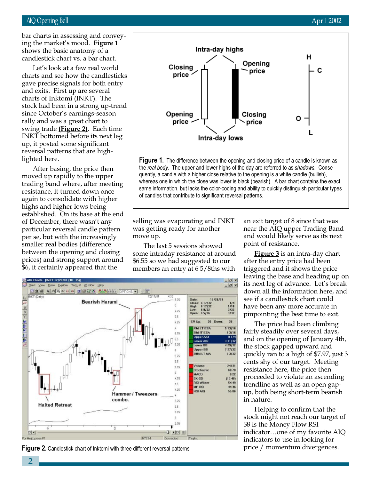#### AIQ Opening Bell April 2002

candlestick chart vs. a bar chart. bar charts in assessing and conveying the market's mood. Figure 1 shows the basic anatomy of a

Let's look at a few real world charts and see how the candlesticks gave precise signals for both entry and exits. First up are several charts of Inktomi (INKT). The stock had been in a strong up-trend since October's earnings-season rally and was a great chart to swing trade (Figure 2). Each time INKT bottomed before its next leg up, it posted some significant reversal patterns that are highlighted here.

After basing, the price then moved up rapidly to the upper trading band where, after meeting resistance, it turned down once again to consolidate with higher highs and higher lows being established. On its base at the end of December, there wasn't any particular reversal candle pattern per se, but with the increasingly smaller real bodies (difference between the opening and closing prices) and strong support around \$6, it certainly appeared that the



**Figure 1.** The difference between the opening and closing price of a candle is known as the real body. The upper and lower highs of the day are referred to as shadows. Consequently, a candle with a higher close relative to the opening is a white candle (bullish), whereas one in which the close was lower is black (bearish). A bar chart contains the exact same information, but lacks the color-coding and ability to quickly distinguish particular types of candles that contribute to significant reversal patterns.

selling was evaporating and INKT was getting ready for another move up.

The last 5 sessions showed some intraday resistance at around \$6.55 so we had suggested to our members an entry at 6 5/8ths with

an exit target of 8 since that was near the AIQ upper Trading Band and would likely serve as its next point of resistance.

**Figure 3** is an intra-day chart after the entry price had been triggered and it shows the price leaving the base and heading up on its next leg of advance. Let's break down all the information here, and see if a candlestick chart could have been any more accurate in pinpointing the best time to exit.

The price had been climbing fairly steadily over several days, and on the opening of January 4th, the stock gapped upward and quickly ran to a high of \$7.97, just 3 cents shy of our target. Meeting resistance here, the price then proceeded to violate an ascending trendline as well as an open gapup, both being short-term bearish in nature.

Helping to confirm that the stock might not reach our target of \$8 is the Money Flow RSI indicator…one of my favorite AIQ indicators to use in looking for



Figure 2. Candlestick chart of Inktomi with three different reversal patterns price / momentum divergences.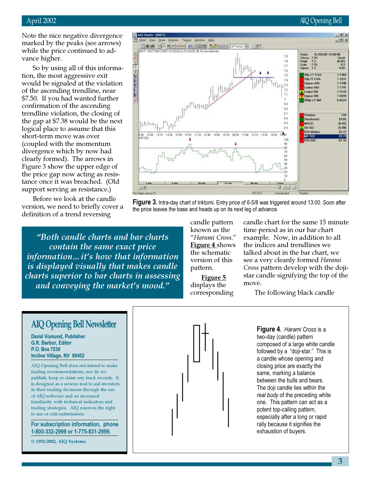#### April 2002 AIQ Opening Bell

Note the nice negative divergence marked by the peaks (see arrows) while the price continued to advance higher.

So by using all of this information, the most aggressive exit would be signaled at the violation of the ascending trendline, near \$7.50. If you had wanted further confirmation of the ascending trendline violation, the closing of the gap at \$7.38 would be the next logical place to assume that this short-term move was over (coupled with the momentum divergence which by now had clearly formed). The arrows in Figure 3 show the upper edge of the price gap now acting as resistance once it was breached. (Old support serving as resistance.)

Before we look at the candle version, we need to briefly cover a definition of a trend reversing

"Both candle charts and bar charts contain the same exact price information…it's how that information is displayed visually that makes candle charts superior to bar charts in assessing and conveying the market's mood."



Figure 3. Intra-day chart of Inktomi. Entry price of 6-5/8 was triggered around 13:00. Soon after the price leaves the base and heads up on its next leg of advance.

> candle pattern known as the "Harami Cross." Figure 4 shows the schematic version of this pattern.

Figure 5 displays the corresponding candle chart for the same 15 minute time period as in our bar chart example. Now, in addition to all the indices and trendlines we talked about in the bar chart, we see a very cleanly formed Harami Cross pattern develop with the dojistar candle signifying the top of the move.

The following black candle

**Figure 4.** Harami Cross is a two-day (candle) pattern composed of a large white candle followed by a "doji-star." This is a candle whose opening and closing price are exactly the same, marking a balance between the bulls and bears. The doji candle lies within the real body of the preceding white one. This pattern can act as a potent top-calling pattern, especially after a long or rapid rally because it signifies the exhaustion of buyers.

## AIQ Opening Bell Newsletter

David Vomund, Publisher G.R. Barbor, Editor P.O. Box 7530 Incline Village, NV 89452

AIQ Opening Bell does not intend to make trading recommendations, nor do we publish, keep or claim any track records. It is designed as a serious tool to aid investors in their trading decisions through the use of AIQ software and an increased familiarity with technical indicators and trading strategies. AIQ reserves the right to use or edit submissions.

For subscription information, phone 1-800-332-2999 or 1-775-831-2999.

© 1992-2002, AIQ Systems

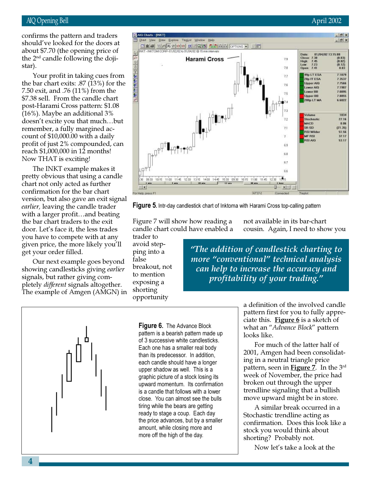#### AIQ Opening Bell April 2002

#### the  $2<sup>nd</sup>$  candle following the dojiconfirms the pattern and traders should've looked for the doors at about \$7.70 (the opening price of star).

Your profit in taking cues from the bar chart exits: .87 (13%) for the 7.50 exit, and .76 (11%) from the \$7.38 sell. From the candle chart post-Harami Cross pattern: \$1.08 (16%). Maybe an additional 3% doesn't excite you that much…but remember, a fully margined account of \$10,000.00 with a daily profit of just 2% compounded, can reach \$1,000,000 in 12 months! Now THAT is exciting!

The INKT example makes it pretty obvious that using a candle chart not only acted as further confirmation for the bar chart version, but also gave an exit signal earlier, leaving the candle trader with a larger profit…and beating the bar chart traders to the exit door. Let's face it, the less trades you have to compete with at any given price, the more likely you'll get your order filled.

Our next example goes beyond showing candlesticks giving earlier signals, but rather giving completely different signals altogether. The example of Amgen (AMGN) in

#### AIO Charts - [INKT]  $-|E|$  x Explore TegList Window Help  $-|B|$  x View Draw 다회록 위계까 인한한 페이오템 회원자에 Cenows --01/02/02 to 01/04/02 @ 15 min interval 01/04/02 13:15:00 Date  $(0.03)$ <br> $(0.02)$ <br> $(0.12)$ Close: 7.38<br>High: 7.45<br>Low: 7.23<br>Open: 7.41 **Harami Cross** 79 78 0.03 7.1879 49p LT ESA 72 28p IT ESA 7.3537 **Upper AIO** 7.7566 Lower AID 7.1987 Lower BB 7.0895 7.5 Upper BB 7.8855 200p LT MA 6.6022 ╷╚╫╷╷╵┥┙┥╝╅ Volum 1034  $72$ Stochastic 27.16 **MACD** 0.05 SK-SD  $(21.35)$  $7.1$ **RSI Wilder** 51.56 **MF RSI** 37.17  $\overline{1}$ **RSI AID** 53.17 1401+++  $6.9$ 6.8 6.7  $66$ 14:00 14:45 16:30 09:30 11:45 11:00 11:45 12:30 13.15 10:15 10:15  $1 - 4$ 10 min  $15 -$ 团团 O For Help, press FT NT37-2

**Figure 5.** Intr-day candlestick chart of Inktoma with Harami Cross top-calling pattern

Figure 7 will show how reading a candle chart could have enabled a

trader to avoid stepping into a false breakout, not to mention exposing a shorting opportunity

not available in its bar-chart cousin. Again, I need to show you

"The addition of candlestick charting to more "conventional" technical analysis can help to increase the accuracy and profitability of your trading."



**Figure 6.** The Advance Block pattern is a bearish pattern made up of 3 successive white candlesticks. Each one has a smaller real body than its predecessor. In addition, each candle should have a longer upper shadow as well. This is a graphic picture of a stock losing its upward momentum. Its confirmation is a candle that follows with a lower close. You can almost see the bulls tiring while the bears are getting ready to stage a coup. Each day the price advances, but by a smaller amount, while closing more and more off the high of the day.

a definition of the involved candle pattern first for you to fully appreciate this. Figure  $6$  is a sketch of what an "Advance Block" pattern looks like.

For much of the latter half of 2001, Amgen had been consolidating in a neutral triangle price pattern, seen in **Figure** 7. In the  $3^{rd}$ week of November, the price had broken out through the upper trendline signaling that a bullish move upward might be in store.

A similar break occurred in a Stochastic trendline acting as confirmation. Does this look like a stock you would think about shorting? Probably not.

Now let's take a look at the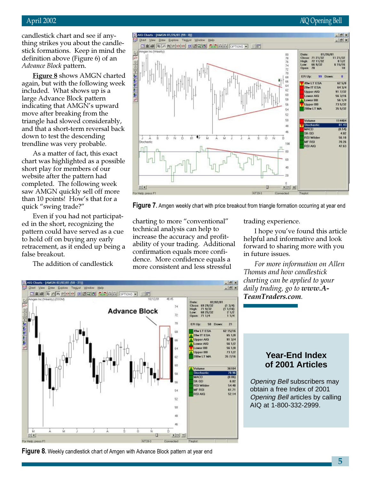candlestick chart and see if anything strikes you about the candlestick formations. Keep in mind the definition above (Figure 6) of an Advance Block pattern.

**Figure 8** shows AMGN charted again, but with the following week included. What shows up is a large Advance Block pattern indicating that AMGN's upward move after breaking from the triangle had slowed considerably, and that a short-term reversal back down to test the descending trendline was very probable.

As a matter of fact, this exact chart was highlighted as a possible short play for members of our website after the pattern had completed. The following week saw AMGN quickly sell off more than 10 points! How's that for a quick "swing trade?"

Even if you had not participated in the short, recognizing the pattern could have served as a cue to hold off on buying any early retracement, as it ended up being a false breakout.

The addition of candlestick



Figure 7. Amgen weekly chart with price breakout from triangle formation occurring at year end

charting to more "conventional" technical analysis can help to increase the accuracy and profitability of your trading. Additional confirmation equals more confidence. More confidence equals a more consistent and less stressful

trading experience.

I hope you've found this article helpful and informative and look forward to sharing more with you in future issues.

For more information on Allen Thomas and how candlestick charting can be applied to your daily trading, go to www.A-TeamTraders.com.

### **Year-End Index of 2001 Articles**

Opening Bell subscribers may obtain a free Index of 2001 Opening Bell articles by calling AIQ at 1-800-332-2999.



**Figure 8.** Weekly candlestick chart of Amgen with Advance Block pattern at year end

#### April 2002 AIQ Opening Bell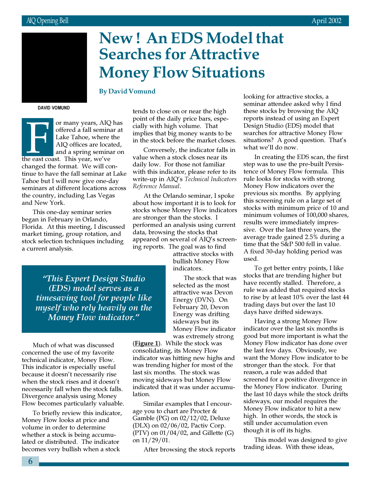# New ! An EDS Model that Searches for Attractive Money Flow Situations

#### By David Vomund

DAVID VOMUND

or many years, AIQ<br>offered a fall semining<br>Lake Tahoe, where<br>AIQ offices are loca<br>and a spring semina<br>the east coast. This year, we've or many years, AIQ has offered a fall seminar at Lake Tahoe, where the AIQ offices are located, and a spring seminar on changed the format. We will continue to have the fall seminar at Lake Tahoe but I will now give one-day seminars at different locations across the country, including Las Vegas and New York.

March 2002

This one-day seminar series began in February in Orlando, Florida. At this meeting, I discussed market timing, group rotation, and stock selection techniques including a current analysis.

tends to close on or near the high point of the daily price bars, especially with high volume. That implies that big money wants to be in the stock before the market closes.

Conversely, the indicator falls in value when a stock closes near its daily low. For those not familiar with this indicator, please refer to its write-up in AIQ's Technical Indicators Reference Manual.

At the Orlando seminar, I spoke about how important it is to look for stocks whose Money Flow indicators are stronger than the stocks. I performed an analysis using current data, browsing the stocks that appeared on several of AIQ's screening reports. The goal was to find

> attractive stocks with bullish Money Flow indicators.

The stock that was selected as the most attractive was Devon Energy (DVN). On February 20, Devon Energy was drifting sideways but its Money Flow indicator was extremely strong

"This Expert Design Studio (EDS) model serves as a timesaving tool for people like myself who rely heavily on the Money Flow indicator."

Much of what was discussed concerned the use of my favorite technical indicator, Money Flow. This indicator is especially useful because it doesn't necessarily rise when the stock rises and it doesn't necessarily fall when the stock falls. Divergence analysis using Money Flow becomes particularly valuable.

To briefly review this indicator, Money Flow looks at price and volume in order to determine whether a stock is being accumulated or distributed. The indicator becomes very bullish when a stock

(Figure 1). While the stock was consolidating, its Money Flow indicator was hitting new highs and was trending higher for most of the last six months. The stock was moving sideways but Money Flow indicated that it was under accumulation.

Similar examples that I encourage you to chart are Procter & Gamble (PG) on 02/12/02, Deluxe (DLX) on 02/06/02, Pactiv Corp. (PTV) on  $01/04/02$ , and Gillette (G) on 11/29/01.

After browsing the stock reports

looking for attractive stocks, a seminar attendee asked why I find these stocks by browsing the AIQ reports instead of using an Expert Design Studio (EDS) model that searches for attractive Money Flow situations? A good question. That's what we'll do now.

In creating the EDS scan, the first step was to use the pre-built Persistence of Money Flow formula. This rule looks for stocks with strong Money Flow indicators over the previous six months. By applying this screening rule on a large set of stocks with minimum price of 10 and minimum volumes of 100,000 shares, results were immediately impressive. Over the last three years, the average trade gained 2.5% during a time that the S&P 500 fell in value. A fixed 30-day holding period was used.

To get better entry points, I like stocks that are trending higher but have recently stalled. Therefore, a rule was added that required stocks to rise by at least 10% over the last 44 trading days but over the last 10 days have drifted sideways.

Having a strong Money Flow indicator over the last six months is good but more important is what the Money Flow indicator has done over the last few days. Obviously, we want the Money Flow indicator to be stronger than the stock. For that reason, a rule was added that screened for a positive divergence in the Money Flow indicator. During the last 10 days while the stock drifts sideways, our model requires the Money Flow indicator to hit a new high. In other words, the stock is still under accumulation even though it is off its highs.

This model was designed to give trading ideas. With these ideas,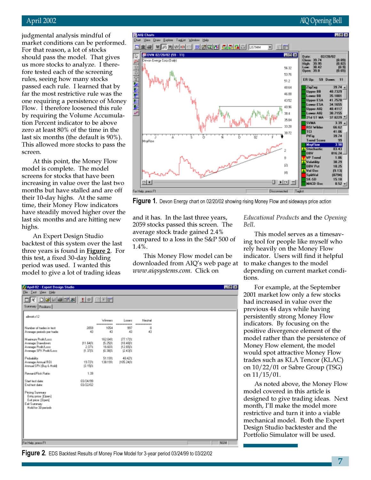#### April 2002 AIQ Opening Bell

judgmental analysis mindful of market conditions can be performed. For that reason, a lot of stocks should pass the model. That gives us more stocks to analyze. I therefore tested each of the screening rules, seeing how many stocks passed each rule. I learned that by far the most restrictive rule was the one requiring a persistence of Money Flow. I therefore loosened this rule by requiring the Volume Accumulation Percent indicator to be above zero at least 80% of the time in the last six months (the default is 90%). This allowed more stocks to pass the screen.

At this point, the Money Flow model is complete. The model screens for stocks that have been increasing in value over the last two months but have stalled and are off their 10-day highs. At the same time, their Money Flow indicators have steadily moved higher over the last six months and are hitting new highs.

An Expert Design Studio backtest of this system over the last three years is found in Figure 2. For this test, a fixed 30-day holding period was used. I wanted this model to give a lot of trading ideas

**P. April 02 - Expert Design Studio** 



Figure 1. Devon Energy chart on 02/20/02 showing rising Money Flow and sideways price action

 $\blacksquare$ e x

and it has. In the last three years, 2059 stocks passed this screen. The average stock trade gained 2.4% compared to a loss in the S&P 500 of 1.4%.

This Money Flow model can be downloaded from AIQ's web page at www.aiqsystems.com. Click on

Educational Products and the Opening Bell.

This model serves as a timesaving tool for people like myself who rely heavily on the Money Flow indicator. Users will find it helpful to make changes to the model depending on current market conditions.

For example, at the September 2001 market low only a few stocks had increased in value over the previous 44 days while having persistently strong Money Flow indicators. By focusing on the positive divergence element of the model rather than the persistence of Money Flow element, the model would spot attractive Money Flow trades such as KLA Tencor (KLAC) on 10/22/01 or Sabre Group (TSG) on 11/15/01.

As noted above, the Money Flow model covered in this article is designed to give trading ideas. Next month, I'll make the model more restrictive and turn it into a viable mechanical model. Both the Expert Design Studio backtester and the Portfolio Simulator will be used.

| Film Inst Your Help                                                                               |                              |                                           |                                            |                       |  |     |
|---------------------------------------------------------------------------------------------------|------------------------------|-------------------------------------------|--------------------------------------------|-----------------------|--|-----|
| $E[X]$ $D[S]$ $E[B]$ $E[X]$ $I$ $I$ $I$ $E[E]$                                                    |                              |                                           |                                            |                       |  |     |
| Summary   Pazitions                                                                               |                              |                                           |                                            |                       |  |     |
| allocaler12                                                                                       |                              | Winners<br>----------                     | Loogra<br>------<br>---                    | Neutral<br>---------- |  |     |
| Number of tradec in text.                                                                         | 2099                         | 1054                                      | 997                                        | a                     |  |     |
| Average periods per trade:                                                                        | 43                           | 43                                        | 43                                         | 43                    |  |     |
| Mainun Profi/Loss<br>Average Drawdown<br>Average Profit/Lass<br>Average SPX Profit/Lass:          | [11.64]%<br>2.37%<br>11.371% | 162.04%<br><b>氏25次</b><br>16.60%<br>0.38は | (77.17)%<br>118.48 %<br>12.65 %<br>12.43 % |                       |  |     |
| Probability:<br>Avenuge Armuel ROE<br>Annual SPK (Buy & Hold):                                    | 19.72%<br>[115]%             | 51.19%<br>138.19%                         | 48.42%<br>105.24/%                         |                       |  |     |
| <b>Besard/Fisk Batist</b>                                                                         | 1.99                         |                                           |                                            |                       |  |     |
| Start text date:<br>End test date:                                                                | 03/24/99<br>03/22/02         |                                           |                                            |                       |  |     |
| Pricing Summary<br>Entryprice: [Open]<br>Exit price: [Dpen]<br>Esk Summary<br>Hold for 30 periods |                              |                                           |                                            |                       |  |     |
| For Help, press F1                                                                                |                              |                                           |                                            |                       |  | NUM |